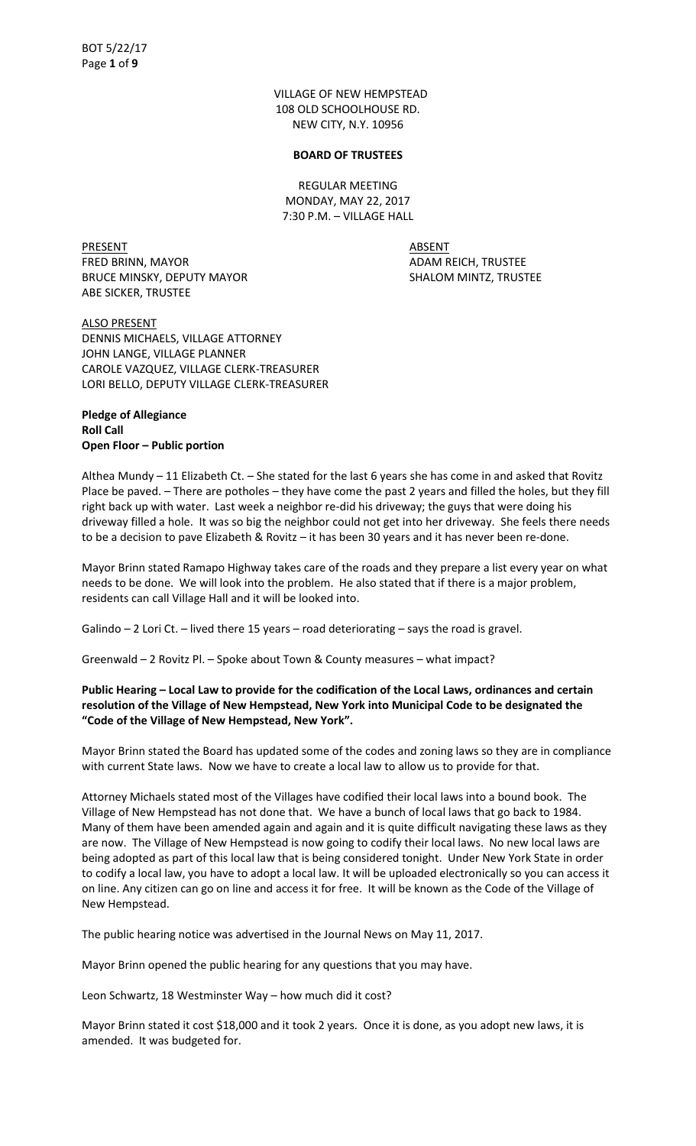VILLAGE OF NEW HEMPSTEAD 108 OLD SCHOOLHOUSE RD. NEW CITY, N.Y. 10956

#### **BOARD OF TRUSTEES**

REGULAR MEETING MONDAY, MAY 22, 2017 7:30 P.M. – VILLAGE HALL

PRESENT ABSENT FRED BRINN, MAYOR **ADAM REICH, TRUSTEE** BRUCE MINSKY, DEPUTY MAYOR SHALOM MINTZ, TRUSTEE ABE SICKER, TRUSTEE

ALSO PRESENT DENNIS MICHAELS, VILLAGE ATTORNEY JOHN LANGE, VILLAGE PLANNER CAROLE VAZQUEZ, VILLAGE CLERK-TREASURER LORI BELLO, DEPUTY VILLAGE CLERK-TREASURER

# **Pledge of Allegiance Roll Call Open Floor – Public portion**

Althea Mundy – 11 Elizabeth Ct. – She stated for the last 6 years she has come in and asked that Rovitz Place be paved. – There are potholes – they have come the past 2 years and filled the holes, but they fill right back up with water. Last week a neighbor re-did his driveway; the guys that were doing his driveway filled a hole. It was so big the neighbor could not get into her driveway. She feels there needs to be a decision to pave Elizabeth & Rovitz – it has been 30 years and it has never been re-done.

Mayor Brinn stated Ramapo Highway takes care of the roads and they prepare a list every year on what needs to be done. We will look into the problem. He also stated that if there is a major problem, residents can call Village Hall and it will be looked into.

Galindo – 2 Lori Ct. – lived there 15 years – road deteriorating – says the road is gravel.

Greenwald – 2 Rovitz Pl. – Spoke about Town & County measures – what impact?

# **Public Hearing – Local Law to provide for the codification of the Local Laws, ordinances and certain resolution of the Village of New Hempstead, New York into Municipal Code to be designated the ͞Code of the Village of New Hempstead, New York͟.**

Mayor Brinn stated the Board has updated some of the codes and zoning laws so they are in compliance with current State laws. Now we have to create a local law to allow us to provide for that.

Attorney Michaels stated most of the Villages have codified their local laws into a bound book. The Village of New Hempstead has not done that. We have a bunch of local laws that go back to 1984. Many of them have been amended again and again and it is quite difficult navigating these laws as they are now. The Village of New Hempstead is now going to codify their local laws. No new local laws are being adopted as part of this local law that is being considered tonight. Under New York State in order to codify a local law, you have to adopt a local law. It will be uploaded electronically so you can access it on line. Any citizen can go on line and access it for free. It will be known as the Code of the Village of New Hempstead.

The public hearing notice was advertised in the Journal News on May 11, 2017.

Mayor Brinn opened the public hearing for any questions that you may have.

Leon Schwartz, 18 Westminster Way – how much did it cost?

Mayor Brinn stated it cost \$18,000 and it took 2 years. Once it is done, as you adopt new laws, it is amended. It was budgeted for.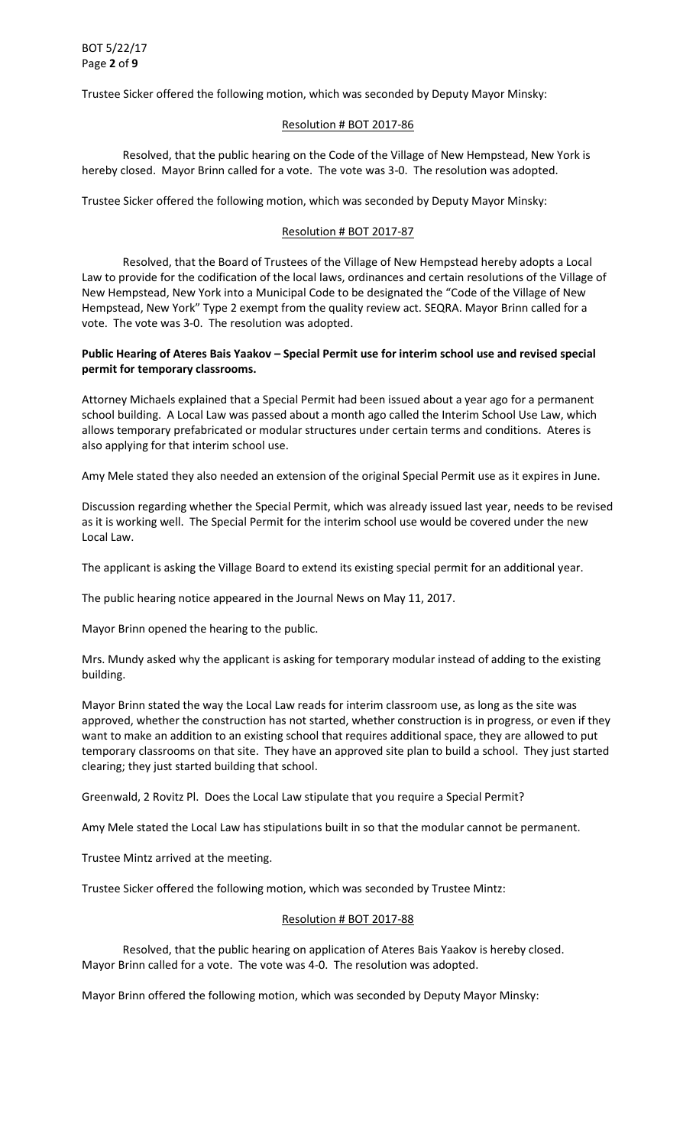Trustee Sicker offered the following motion, which was seconded by Deputy Mayor Minsky:

### Resolution # BOT 2017-86

 Resolved, that the public hearing on the Code of the Village of New Hempstead, New York is hereby closed. Mayor Brinn called for a vote. The vote was 3-0. The resolution was adopted.

Trustee Sicker offered the following motion, which was seconded by Deputy Mayor Minsky:

## Resolution # BOT 2017-87

 Resolved, that the Board of Trustees of the Village of New Hempstead hereby adopts a Local Law to provide for the codification of the local laws, ordinances and certain resolutions of the Village of New Hempstead, New York into a Municipal Code to be designated the "Code of the Village of New Hempstead, New York<sup>"</sup> Type 2 exempt from the quality review act. SEQRA. Mayor Brinn called for a vote. The vote was 3-0. The resolution was adopted.

## **Public Hearing of Ateres Bais Yaakov – Special Permit use for interim school use and revised special permit for temporary classrooms.**

Attorney Michaels explained that a Special Permit had been issued about a year ago for a permanent school building. A Local Law was passed about a month ago called the Interim School Use Law, which allows temporary prefabricated or modular structures under certain terms and conditions. Ateres is also applying for that interim school use.

Amy Mele stated they also needed an extension of the original Special Permit use as it expires in June.

Discussion regarding whether the Special Permit, which was already issued last year, needs to be revised as it is working well. The Special Permit for the interim school use would be covered under the new Local Law.

The applicant is asking the Village Board to extend its existing special permit for an additional year.

The public hearing notice appeared in the Journal News on May 11, 2017.

Mayor Brinn opened the hearing to the public.

Mrs. Mundy asked why the applicant is asking for temporary modular instead of adding to the existing building.

Mayor Brinn stated the way the Local Law reads for interim classroom use, as long as the site was approved, whether the construction has not started, whether construction is in progress, or even if they want to make an addition to an existing school that requires additional space, they are allowed to put temporary classrooms on that site. They have an approved site plan to build a school. They just started clearing; they just started building that school.

Greenwald, 2 Rovitz Pl. Does the Local Law stipulate that you require a Special Permit?

Amy Mele stated the Local Law has stipulations built in so that the modular cannot be permanent.

Trustee Mintz arrived at the meeting.

Trustee Sicker offered the following motion, which was seconded by Trustee Mintz:

## Resolution # BOT 2017-88

 Resolved, that the public hearing on application of Ateres Bais Yaakov is hereby closed. Mayor Brinn called for a vote. The vote was 4-0. The resolution was adopted.

Mayor Brinn offered the following motion, which was seconded by Deputy Mayor Minsky: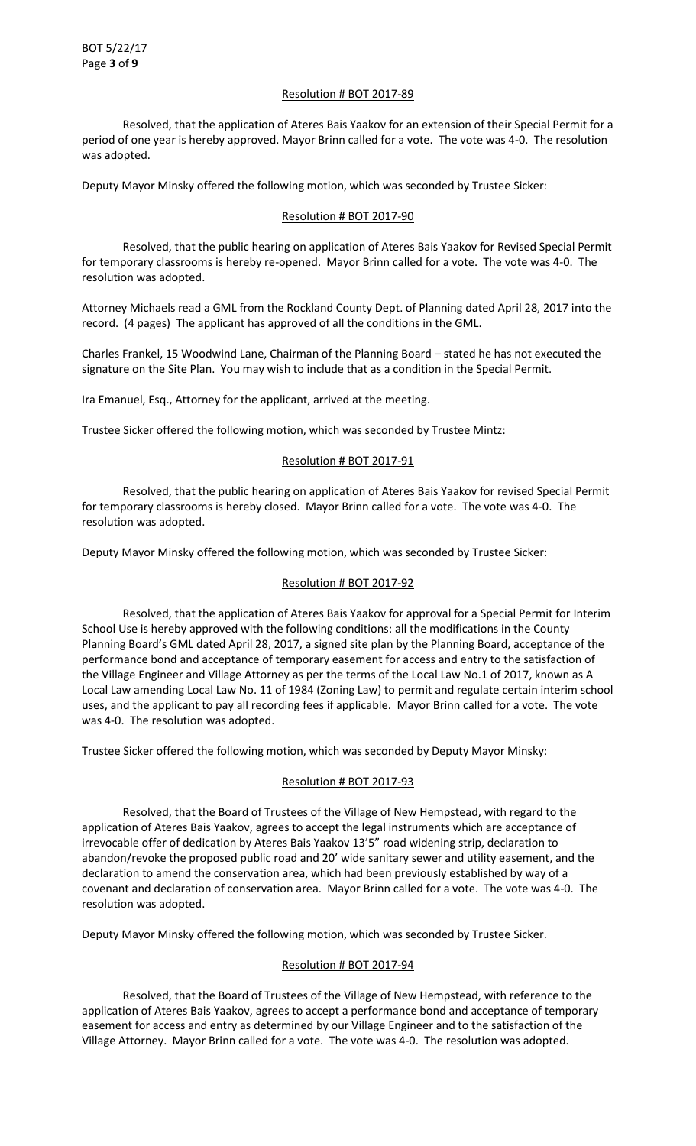## Resolution # BOT 2017-89

 Resolved, that the application of Ateres Bais Yaakov for an extension of their Special Permit for a period of one year is hereby approved. Mayor Brinn called for a vote. The vote was 4-0. The resolution was adopted.

Deputy Mayor Minsky offered the following motion, which was seconded by Trustee Sicker:

## Resolution # BOT 2017-90

 Resolved, that the public hearing on application of Ateres Bais Yaakov for Revised Special Permit for temporary classrooms is hereby re-opened. Mayor Brinn called for a vote. The vote was 4-0. The resolution was adopted.

Attorney Michaels read a GML from the Rockland County Dept. of Planning dated April 28, 2017 into the record. (4 pages) The applicant has approved of all the conditions in the GML.

Charles Frankel, 15 Woodwind Lane, Chairman of the Planning Board – stated he has not executed the signature on the Site Plan. You may wish to include that as a condition in the Special Permit.

Ira Emanuel, Esq., Attorney for the applicant, arrived at the meeting.

Trustee Sicker offered the following motion, which was seconded by Trustee Mintz:

# Resolution # BOT 2017-91

 Resolved, that the public hearing on application of Ateres Bais Yaakov for revised Special Permit for temporary classrooms is hereby closed. Mayor Brinn called for a vote. The vote was 4-0. The resolution was adopted.

Deputy Mayor Minsky offered the following motion, which was seconded by Trustee Sicker:

## Resolution # BOT 2017-92

Resolved, that the application of Ateres Bais Yaakov for approval for a Special Permit for Interim School Use is hereby approved with the following conditions: all the modifications in the County Planning Board's GML dated April 28, 2017, a signed site plan by the Planning Board, acceptance of the performance bond and acceptance of temporary easement for access and entry to the satisfaction of the Village Engineer and Village Attorney as per the terms of the Local Law No.1 of 2017, known as A Local Law amending Local Law No. 11 of 1984 (Zoning Law) to permit and regulate certain interim school uses, and the applicant to pay all recording fees if applicable. Mayor Brinn called for a vote. The vote was 4-0. The resolution was adopted.

Trustee Sicker offered the following motion, which was seconded by Deputy Mayor Minsky:

# Resolution # BOT 2017-93

 Resolved, that the Board of Trustees of the Village of New Hempstead, with regard to the application of Ateres Bais Yaakov, agrees to accept the legal instruments which are acceptance of irrevocable offer of dedication by Ateres Bais Yaakov 13'5" road widening strip, declaration to abandon/revoke the proposed public road and 20' wide sanitary sewer and utility easement, and the declaration to amend the conservation area, which had been previously established by way of a covenant and declaration of conservation area. Mayor Brinn called for a vote. The vote was 4-0. The resolution was adopted.

Deputy Mayor Minsky offered the following motion, which was seconded by Trustee Sicker.

# Resolution # BOT 2017-94

 Resolved, that the Board of Trustees of the Village of New Hempstead, with reference to the application of Ateres Bais Yaakov, agrees to accept a performance bond and acceptance of temporary easement for access and entry as determined by our Village Engineer and to the satisfaction of the Village Attorney. Mayor Brinn called for a vote. The vote was 4-0. The resolution was adopted.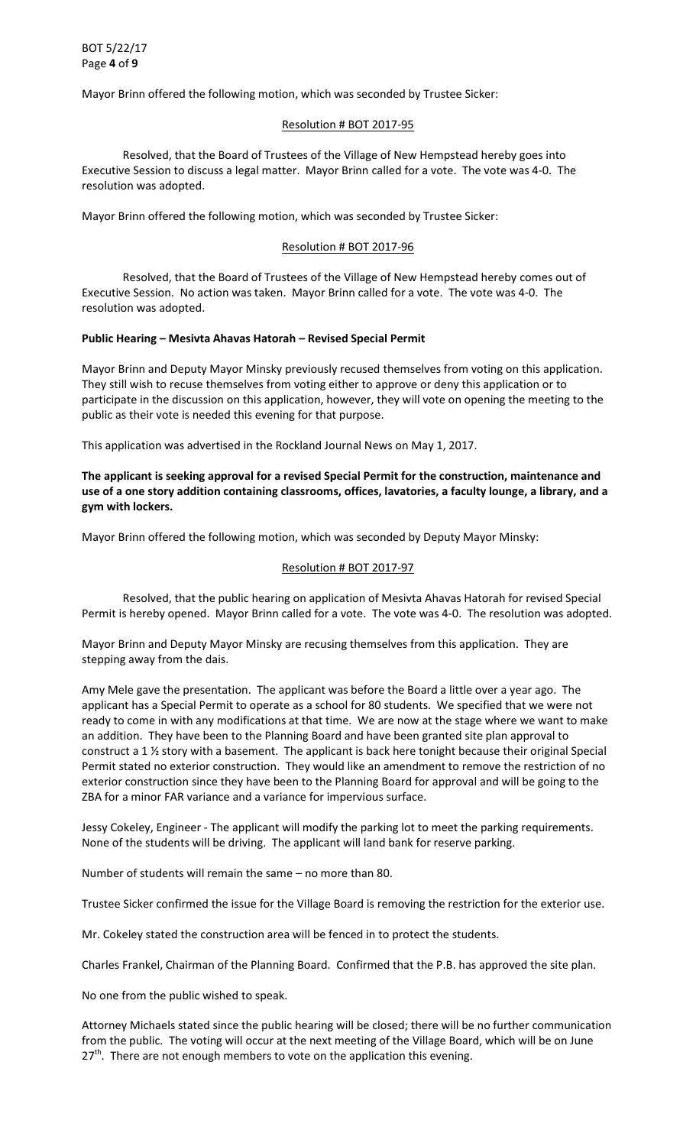Mayor Brinn offered the following motion, which was seconded by Trustee Sicker:

### Resolution # BOT 2017-95

 Resolved, that the Board of Trustees of the Village of New Hempstead hereby goes into Executive Session to discuss a legal matter. Mayor Brinn called for a vote. The vote was 4-0. The resolution was adopted.

Mayor Brinn offered the following motion, which was seconded by Trustee Sicker:

## Resolution # BOT 2017-96

 Resolved, that the Board of Trustees of the Village of New Hempstead hereby comes out of Executive Session. No action was taken. Mayor Brinn called for a vote. The vote was 4-0. The resolution was adopted.

### **Public Hearing – Mesivta Ahavas Hatorah – Revised Special Permit**

Mayor Brinn and Deputy Mayor Minsky previously recused themselves from voting on this application. They still wish to recuse themselves from voting either to approve or deny this application or to participate in the discussion on this application, however, they will vote on opening the meeting to the public as their vote is needed this evening for that purpose.

This application was advertised in the Rockland Journal News on May 1, 2017.

**The applicant is seeking approval for a revised Special Permit for the construction, maintenance and use of a one story addition containing classrooms, offices, lavatories, a faculty lounge, a library, and a gym with lockers.** 

Mayor Brinn offered the following motion, which was seconded by Deputy Mayor Minsky:

### Resolution # BOT 2017-97

 Resolved, that the public hearing on application of Mesivta Ahavas Hatorah for revised Special Permit is hereby opened. Mayor Brinn called for a vote. The vote was 4-0. The resolution was adopted.

Mayor Brinn and Deputy Mayor Minsky are recusing themselves from this application. They are stepping away from the dais.

Amy Mele gave the presentation. The applicant was before the Board a little over a year ago. The applicant has a Special Permit to operate as a school for 80 students. We specified that we were not ready to come in with any modifications at that time. We are now at the stage where we want to make an addition. They have been to the Planning Board and have been granted site plan approval to construct a 1 ½ story with a basement. The applicant is back here tonight because their original Special Permit stated no exterior construction. They would like an amendment to remove the restriction of no exterior construction since they have been to the Planning Board for approval and will be going to the ZBA for a minor FAR variance and a variance for impervious surface.

Jessy Cokeley, Engineer - The applicant will modify the parking lot to meet the parking requirements. None of the students will be driving. The applicant will land bank for reserve parking.

Number of students will remain the same – no more than 80.

Trustee Sicker confirmed the issue for the Village Board is removing the restriction for the exterior use.

Mr. Cokeley stated the construction area will be fenced in to protect the students.

Charles Frankel, Chairman of the Planning Board. Confirmed that the P.B. has approved the site plan.

No one from the public wished to speak.

Attorney Michaels stated since the public hearing will be closed; there will be no further communication from the public. The voting will occur at the next meeting of the Village Board, which will be on June  $27<sup>th</sup>$ . There are not enough members to vote on the application this evening.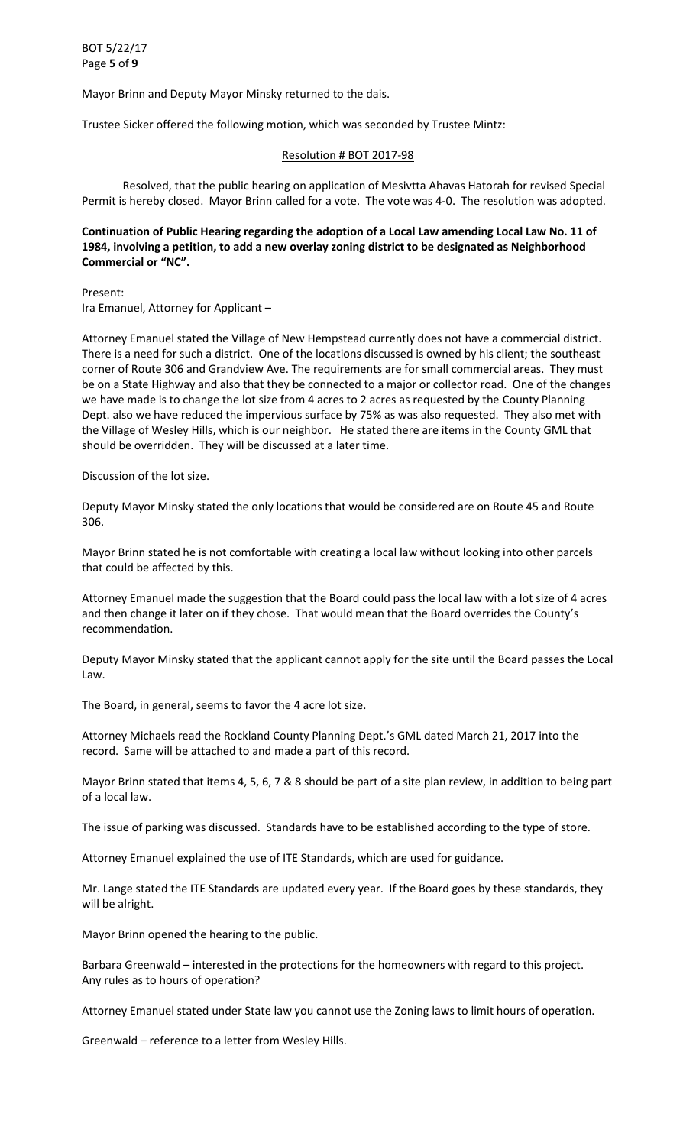Mayor Brinn and Deputy Mayor Minsky returned to the dais.

Trustee Sicker offered the following motion, which was seconded by Trustee Mintz:

## Resolution # BOT 2017-98

 Resolved, that the public hearing on application of Mesivtta Ahavas Hatorah for revised Special Permit is hereby closed. Mayor Brinn called for a vote. The vote was 4-0. The resolution was adopted.

# **Continuation of Public Hearing regarding the adoption of a Local Law amending Local Law No. 11 of 1984, involving a petition, to add a new overlay zoning district to be designated as Neighborhood Commercial or "NC".**

Present: Ira Emanuel, Attorney for Applicant –

Attorney Emanuel stated the Village of New Hempstead currently does not have a commercial district. There is a need for such a district. One of the locations discussed is owned by his client; the southeast corner of Route 306 and Grandview Ave. The requirements are for small commercial areas. They must be on a State Highway and also that they be connected to a major or collector road. One of the changes we have made is to change the lot size from 4 acres to 2 acres as requested by the County Planning Dept. also we have reduced the impervious surface by 75% as was also requested. They also met with the Village of Wesley Hills, which is our neighbor. He stated there are items in the County GML that should be overridden. They will be discussed at a later time.

### Discussion of the lot size.

Deputy Mayor Minsky stated the only locations that would be considered are on Route 45 and Route 306.

Mayor Brinn stated he is not comfortable with creating a local law without looking into other parcels that could be affected by this.

Attorney Emanuel made the suggestion that the Board could pass the local law with a lot size of 4 acres and then change it later on if they chose. That would mean that the Board overrides the County's recommendation.

Deputy Mayor Minsky stated that the applicant cannot apply for the site until the Board passes the Local Law.

The Board, in general, seems to favor the 4 acre lot size.

Attorney Michaels read the Rockland County Planning Dept.'s GML dated March 21, 2017 into the record. Same will be attached to and made a part of this record.

Mayor Brinn stated that items 4, 5, 6, 7 & 8 should be part of a site plan review, in addition to being part of a local law.

The issue of parking was discussed. Standards have to be established according to the type of store.

Attorney Emanuel explained the use of ITE Standards, which are used for guidance.

Mr. Lange stated the ITE Standards are updated every year. If the Board goes by these standards, they will be alright.

Mayor Brinn opened the hearing to the public.

Barbara Greenwald – interested in the protections for the homeowners with regard to this project. Any rules as to hours of operation?

Attorney Emanuel stated under State law you cannot use the Zoning laws to limit hours of operation.

Greenwald – reference to a letter from Wesley Hills.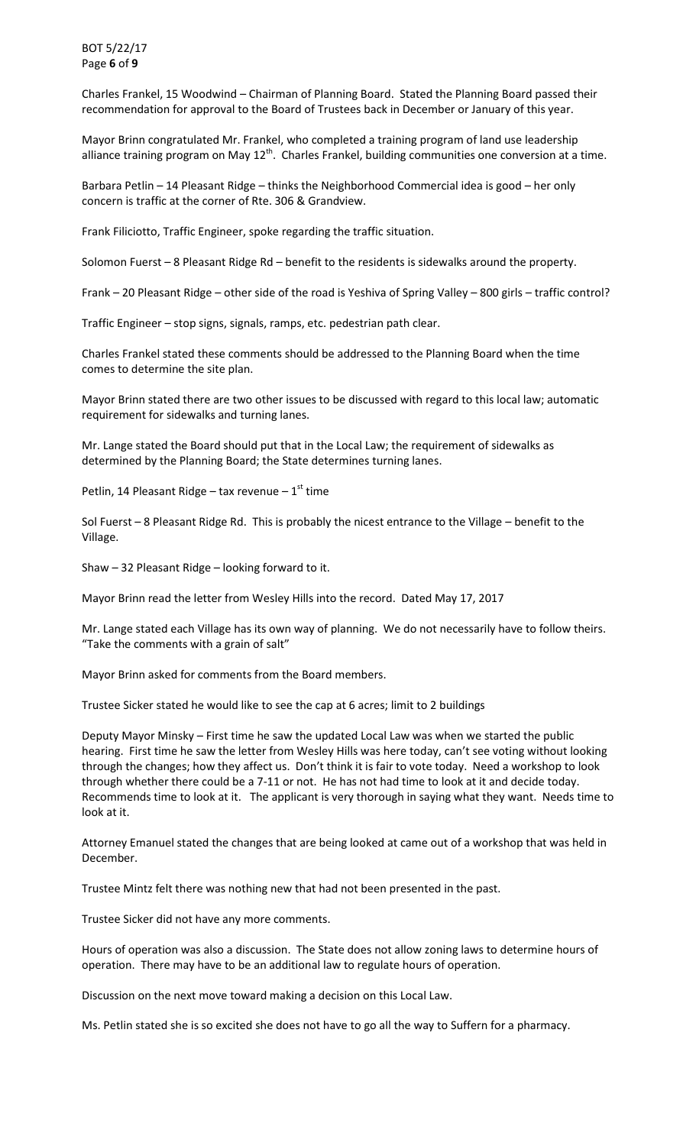BOT 5/22/17 Page **6** of **9**

Charles Frankel, 15 Woodwind – Chairman of Planning Board. Stated the Planning Board passed their recommendation for approval to the Board of Trustees back in December or January of this year.

Mayor Brinn congratulated Mr. Frankel, who completed a training program of land use leadership alliance training program on May 12<sup>th</sup>. Charles Frankel, building communities one conversion at a time.

Barbara Petlin – 14 Pleasant Ridge – thinks the Neighborhood Commercial idea is good – her only concern is traffic at the corner of Rte. 306 & Grandview.

Frank Filiciotto, Traffic Engineer, spoke regarding the traffic situation.

Solomon Fuerst – 8 Pleasant Ridge Rd – benefit to the residents is sidewalks around the property.

Frank – 20 Pleasant Ridge – other side of the road is Yeshiva of Spring Valley – 800 girls – traffic control?

Traffic Engineer – stop signs, signals, ramps, etc. pedestrian path clear.

Charles Frankel stated these comments should be addressed to the Planning Board when the time comes to determine the site plan.

Mayor Brinn stated there are two other issues to be discussed with regard to this local law; automatic requirement for sidewalks and turning lanes.

Mr. Lange stated the Board should put that in the Local Law; the requirement of sidewalks as determined by the Planning Board; the State determines turning lanes.

Petlin, 14 Pleasant Ridge – tax revenue –  $1<sup>st</sup>$  time

Sol Fuerst – 8 Pleasant Ridge Rd. This is probably the nicest entrance to the Village – benefit to the Village.

Shaw – 32 Pleasant Ridge – looking forward to it.

Mayor Brinn read the letter from Wesley Hills into the record. Dated May 17, 2017

Mr. Lange stated each Village has its own way of planning. We do not necessarily have to follow theirs. "Take the comments with a grain of salt"

Mayor Brinn asked for comments from the Board members.

Trustee Sicker stated he would like to see the cap at 6 acres; limit to 2 buildings

Deputy Mayor Minsky – First time he saw the updated Local Law was when we started the public hearing. First time he saw the letter from Wesley Hills was here today, can't see voting without looking through the changes; how they affect us. Don't think it is fair to vote today. Need a workshop to look through whether there could be a 7-11 or not. He has not had time to look at it and decide today. Recommends time to look at it. The applicant is very thorough in saying what they want. Needs time to look at it.

Attorney Emanuel stated the changes that are being looked at came out of a workshop that was held in December.

Trustee Mintz felt there was nothing new that had not been presented in the past.

Trustee Sicker did not have any more comments.

Hours of operation was also a discussion. The State does not allow zoning laws to determine hours of operation. There may have to be an additional law to regulate hours of operation.

Discussion on the next move toward making a decision on this Local Law.

Ms. Petlin stated she is so excited she does not have to go all the way to Suffern for a pharmacy.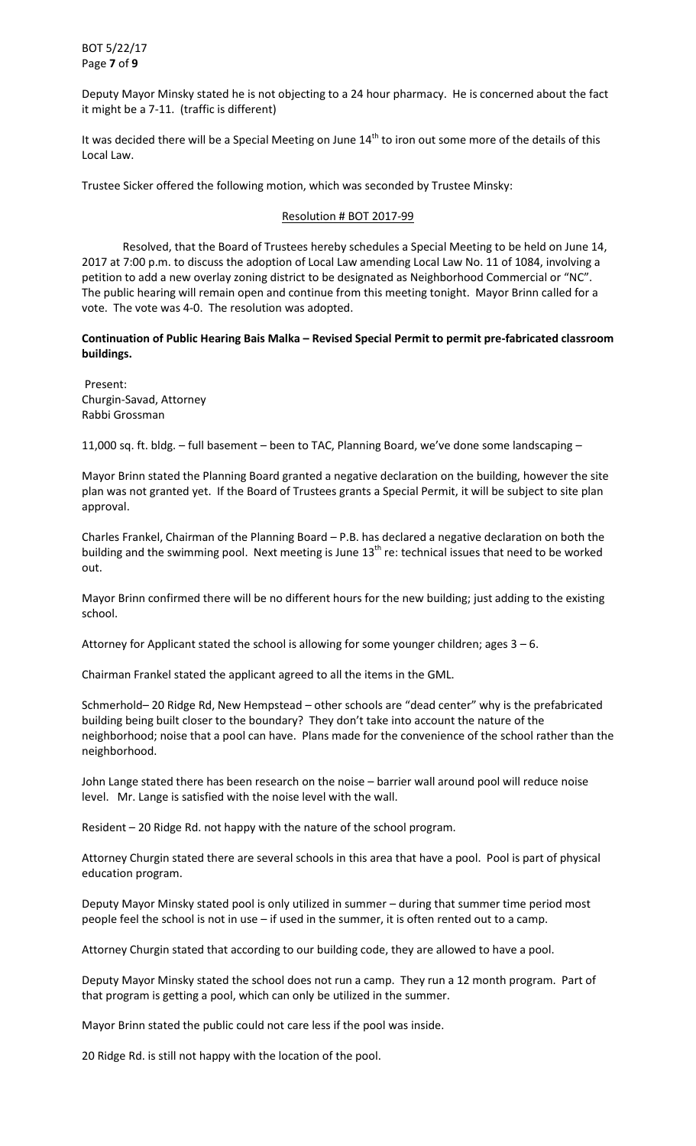BOT 5/22/17 Page **7** of **9**

Deputy Mayor Minsky stated he is not objecting to a 24 hour pharmacy. He is concerned about the fact it might be a 7-11. (traffic is different)

It was decided there will be a Special Meeting on June  $14<sup>th</sup>$  to iron out some more of the details of this Local Law.

Trustee Sicker offered the following motion, which was seconded by Trustee Minsky:

### Resolution # BOT 2017-99

 Resolved, that the Board of Trustees hereby schedules a Special Meeting to be held on June 14, 2017 at 7:00 p.m. to discuss the adoption of Local Law amending Local Law No. 11 of 1084, involving a petition to add a new overlay zoning district to be designated as Neighborhood Commercial or "NC". The public hearing will remain open and continue from this meeting tonight. Mayor Brinn called for a vote. The vote was 4-0. The resolution was adopted.

**Continuation of Public Hearing Bais Malka – Revised Special Permit to permit pre-fabricated classroom buildings.** 

 Present: Churgin-Savad, Attorney Rabbi Grossman

11,000 sq. ft. bldg. – full basement – been to TAC, Planning Board, we've done some landscaping –

Mayor Brinn stated the Planning Board granted a negative declaration on the building, however the site plan was not granted yet. If the Board of Trustees grants a Special Permit, it will be subject to site plan approval.

Charles Frankel, Chairman of the Planning Board – P.B. has declared a negative declaration on both the building and the swimming pool. Next meeting is June 13<sup>th</sup> re: technical issues that need to be worked out.

Mayor Brinn confirmed there will be no different hours for the new building; just adding to the existing school.

Attorney for Applicant stated the school is allowing for some younger children; ages  $3 - 6$ .

Chairman Frankel stated the applicant agreed to all the items in the GML.

Schmerhold– 20 Ridge Rd, New Hempstead – other schools are "dead center" why is the prefabricated building being built closer to the boundary? They don't take into account the nature of the neighborhood; noise that a pool can have. Plans made for the convenience of the school rather than the neighborhood.

John Lange stated there has been research on the noise – barrier wall around pool will reduce noise level. Mr. Lange is satisfied with the noise level with the wall.

Resident – 20 Ridge Rd. not happy with the nature of the school program.

Attorney Churgin stated there are several schools in this area that have a pool. Pool is part of physical education program.

Deputy Mayor Minsky stated pool is only utilized in summer – during that summer time period most people feel the school is not in use – if used in the summer, it is often rented out to a camp.

Attorney Churgin stated that according to our building code, they are allowed to have a pool.

Deputy Mayor Minsky stated the school does not run a camp. They run a 12 month program. Part of that program is getting a pool, which can only be utilized in the summer.

Mayor Brinn stated the public could not care less if the pool was inside.

20 Ridge Rd. is still not happy with the location of the pool.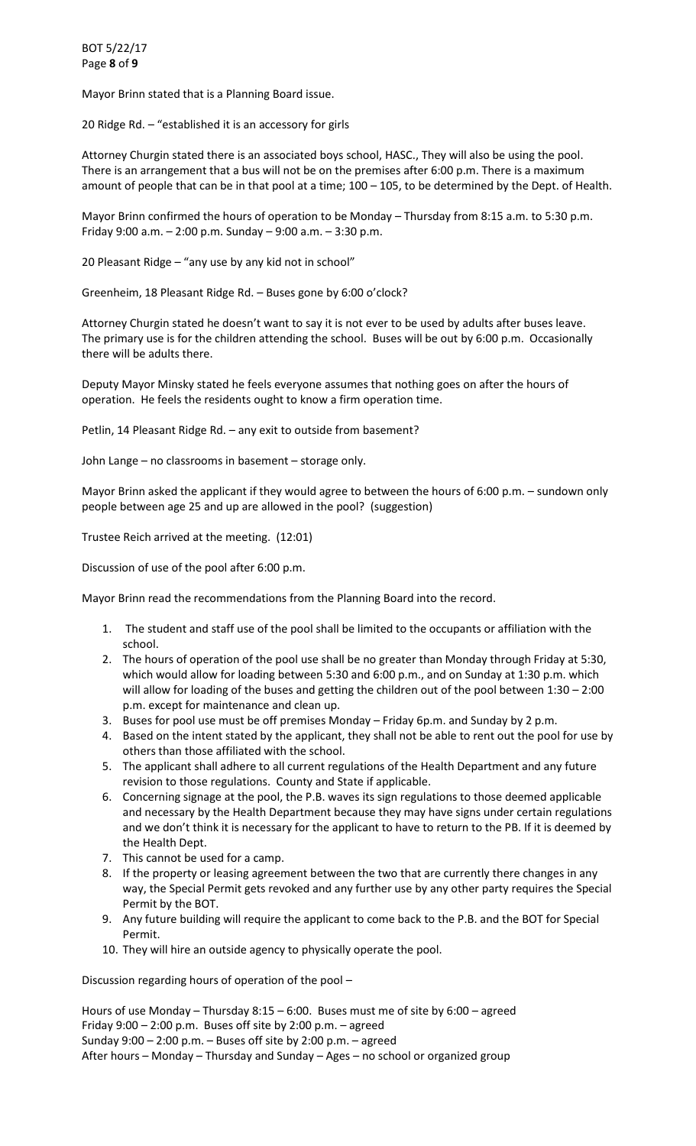Mayor Brinn stated that is a Planning Board issue.

20 Ridge Rd. – "established it is an accessory for girls

Attorney Churgin stated there is an associated boys school, HASC., They will also be using the pool. There is an arrangement that a bus will not be on the premises after 6:00 p.m. There is a maximum amount of people that can be in that pool at a time; 100 – 105, to be determined by the Dept. of Health.

Mayor Brinn confirmed the hours of operation to be Monday – Thursday from 8:15 a.m. to 5:30 p.m. Friday 9:00 a.m. – 2:00 p.m. Sunday – 9:00 a.m. – 3:30 p.m.

20 Pleasant Ridge – "any use by any kid not in school"

Greenheim, 18 Pleasant Ridge Rd. – Buses gone by 6:00 o'clock?

Attorney Churgin stated he doesn't want to say it is not ever to be used by adults after buses leave. The primary use is for the children attending the school. Buses will be out by 6:00 p.m. Occasionally there will be adults there.

Deputy Mayor Minsky stated he feels everyone assumes that nothing goes on after the hours of operation. He feels the residents ought to know a firm operation time.

Petlin, 14 Pleasant Ridge Rd. – any exit to outside from basement?

John Lange – no classrooms in basement – storage only.

Mayor Brinn asked the applicant if they would agree to between the hours of 6:00 p.m. – sundown only people between age 25 and up are allowed in the pool? (suggestion)

Trustee Reich arrived at the meeting. (12:01)

Discussion of use of the pool after 6:00 p.m.

Mayor Brinn read the recommendations from the Planning Board into the record.

- 1. The student and staff use of the pool shall be limited to the occupants or affiliation with the school.
- 2. The hours of operation of the pool use shall be no greater than Monday through Friday at 5:30, which would allow for loading between 5:30 and 6:00 p.m., and on Sunday at 1:30 p.m. which will allow for loading of the buses and getting the children out of the pool between 1:30 – 2:00 p.m. except for maintenance and clean up.
- 3. Buses for pool use must be off premises Monday Friday 6p.m. and Sunday by 2 p.m.
- 4. Based on the intent stated by the applicant, they shall not be able to rent out the pool for use by others than those affiliated with the school.
- 5. The applicant shall adhere to all current regulations of the Health Department and any future revision to those regulations. County and State if applicable.
- 6. Concerning signage at the pool, the P.B. waves its sign regulations to those deemed applicable and necessary by the Health Department because they may have signs under certain regulations and we don't think it is necessary for the applicant to have to return to the PB. If it is deemed by the Health Dept.
- 7. This cannot be used for a camp.
- 8. If the property or leasing agreement between the two that are currently there changes in any way, the Special Permit gets revoked and any further use by any other party requires the Special Permit by the BOT.
- 9. Any future building will require the applicant to come back to the P.B. and the BOT for Special Permit.
- 10. They will hire an outside agency to physically operate the pool.

Discussion regarding hours of operation of the pool –

Hours of use Monday – Thursday  $8:15 - 6:00$ . Buses must me of site by  $6:00$  – agreed Friday  $9:00 - 2:00$  p.m. Buses off site by 2:00 p.m.  $-$  agreed Sunday 9:00 – 2:00 p.m. – Buses off site by 2:00 p.m. – agreed After hours – Monday – Thursday and Sunday – Ages – no school or organized group